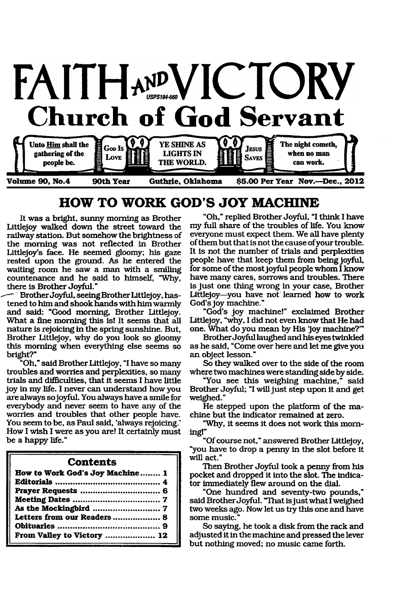

# **HOW TO WORK GOD S JOY MACHINE**

It was a bright, sunny morning as Brother Littlejoy walked down the street toward the railway station. But somehow the brightness of the morning was not reflected in Brother Littlejoy's face. He seemed gloomy; his gaze rested upon the ground. As he entered the waiting room he saw a man with a smiling countenance and he said to himself, "Why, there is Brother Joyful."

Brother Joyful, seeing Brother Littlejoy, hastened to him and shook hands with him warmly and said: "Good morning, Brother Littlejoy. What a fine morning this is! It seems that all nature is rejoicing in the spring sunshine. But, Brother Littlejoy, why do you look so gloomy this morning when everything else seems so bright?"

"Oh," said Brother Littlejoy, "I have so many troubles and worries and perplexities, so many trials and difficulties, that it seems I have little joy in my life. I never can understand how you are always so joyful. You always have a smile for everybody and never seem to have any of the worries and troubles that other people have. You seem to be, as Paul said, 'always rejoicing.' How I wish I were as you are! It certainly must be a happy life."

### **Contents**

| How to Work God's Joy Machine 1 |  |
|---------------------------------|--|
|                                 |  |
|                                 |  |
|                                 |  |
|                                 |  |
| Letters from our Readers 8      |  |
|                                 |  |
| From Valley to Victory  12      |  |

"Oh," replied Brother Joyful, "I think I have my full share of the troubles of life. You know everyone must expect them. We all have plenty of them but that is not the cause of your trouble. It is not the number of trials and perplexities people have that keep them from being joyful, for some of the most joyful people whom I know have many cares, sorrows and troubles. There is just one thing wrong in your case, Brother Littlejoy—you have not learned how to work God's joy machine."

"God's joy machine!" exclaimed Brother Littlejoy, "why, I did not even know that He had one. What do you mean by His 'joy machine?'"

Brother Joyful laughed and his eyes twinkled as he said, "Come over here and let me give you an object lesson."

So they walked over to the side of the room where two machines were standing side by side.

"You see this weighing machine," said Brother Joyful; "I will just step upon it and get weighed."

He stepped upon the platform of the machine but the indicator remained at zero.

"Why, it seems it does not work this morning!"

"Of course not," answered Brother Littlejoy, "you have to drop a penny in the slot before it will act."

Then Brother Joyful took a penny from his pocket and dropped it into the slot. The indicator immediately flew around on the dial.

"One hundred and seventy-two pounds," said Brother Joyful. "That isjust what I weighed two weeks ago. Now let us try this one and have some music."

So saying, he took a disk from the rack and adjusted it in the machine and pressed the lever but nothing moved; no music came forth.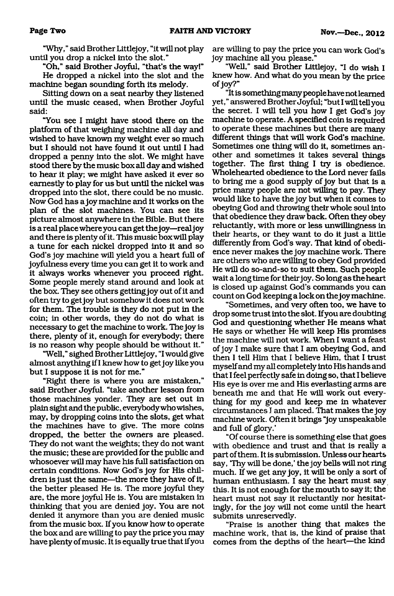"Why," said Brother Littlejoy, "it will not play until you drop a nickel into the slot."

"Oh," said Brother Joyful, "that's the way!" He dropped a nickel into the slot and the machine began sounding forth its melody.

Sitting down on a seat nearby they listened until the music ceased, when Brother Joyful said:

"You see I might have stood there on the platform of that weighing machine all day and wished to have known my weight ever so much but I should not have found it out until I had dropped a penny into the slot. We might have stood there by the music box all day and wished to hear it play; we might have asked it ever so earnestly to play for us but until the nickel was dropped into the slot, there could be no music. Now God has a joy machine and it works on the plan of the slot machines. You can see its picture almost anywhere in the Bible. But there is a real place where you can get the joy—real joy and there is plenty of it. This music box will play a tune for each nickel dropped into it and so God's joy machine will yield you a heart full of joyfulness every time you can get it to work and it always works whenever you proceed right. Some people merely stand around and look at the box. They see others getting joy out of it and often try to get joy but somehow it does not work for them. The trouble is they do not put in the coin; in other words, they do not do what is necessary to get the machine to work. The joy is there, plenty of it, enough for everybody; there is no reason why people should be without it."

"Well," sighed Brother Littlejoy, "I would give almost anything if I knew how to get joy like you but I suppose it is not for me."

"Right there is where you are mistaken," said Brother Joyful, "take another lesson from those machines yonder. They are set out in plain sight and the public, everybody who wishes, may, by dropping coins into the slots, get what the machines have to give. The more coins dropped, the better the owners are pleased. They do not want the weights; they do not want the music; these are provided for the public and whosoever will may have his full satisfaction on certain conditions. Now God's joy for His children is just the same—the more they have of it, the better pleased He is. The more joyful they are, the more joyful He is. You are mistaken in thinking that you are denied joy. You are not denied it anymore than you are denied music from the music box. If you know how to operate the box and are willing to pay the price you may have plenty of music. It is equally true that if you are willing to pay the price you can work God's joy machine all you please."

"Well," said Brother Littlejoy, "I do wish I knew how. And what do you mean by the price of joy?"

"It is something many people have notleamed yet," answered Brother Joyful; "but I will tell you the secret. I will tell you how I get God's joy machine to operate. A specified coin is required to operate these machines but there are many different things that will work God's machine. Sometimes one thing will do it, sometimes another and sometimes it takes several things together. The first thing I try is obedience. Wholehearted obedience to the Lord never fails to bring me a good supply of joy but that is a price many people are not willing to pay. They would like to have the joy but when it comes to obeying God and throwing their whole soul into that obedience they draw back. Often they obey reluctantly, with more or less unwillingness in their hearts, or they want to do it just a little differently from God's way. That kind of obedience never makes the joy machine work. There are others who are willing to obey God provided He will do so-and-so to suit them. Such people wait a long time for their joy. So long as theheart is closed up against God's commands you can count on God keeping a lock on the joy machine.

"Sometimes, and very often too, we have to drop some trust into the slot. If you are doubting God and questioning whether He means what He says or whether He will keep His promises the machine will not work. When I want a feast of joy I make sure that I am obeying God, and then I tell Him that I believe Him, that I trust myself and my all completely into His hands and that I feel perfectly safe in doing so, that I believe His eye is over me and His everlasting arms are beneath me and that He will work out everything for my good and keep me in whatever circumstances I am placed. That makes the joy machine work. Often it brings "joy unspeakable and full of glory.'

"Of course there is something else that goes with obedience and trust and that is really a part of them. It is submission. Unless our hearts say, Thy will be done,' the joy bells will not ring much. If we get any joy, it will be only a sort of human enthusiasm. I say the heart must say this. It is not enough for the mouth to say it; the heart must not say it reluctantly nor hesitatingly, for the joy will not come until the heart submits unreservedly.

"Praise is another thing that makes the machine work, that is, the kind of praise that comes from the depths of the heart—the kind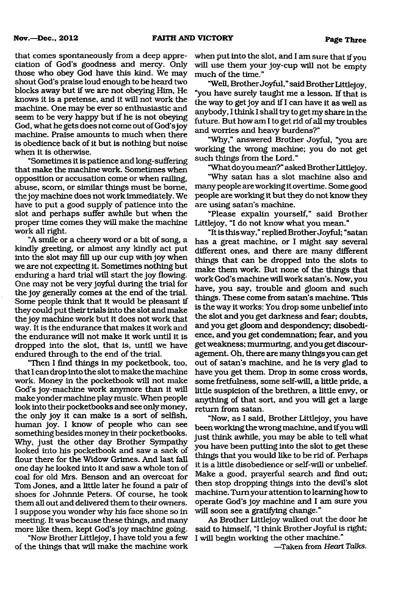that comes spontaneously from a deep appreciation of God's goodness and mercy. Only those who obey God have this kind. We may shout God's praise loud enough to be heard two blocks away but if we are not obeying Him, He knows it is a pretense, and it will not work the machine. One may be ever so enthusiastic and seem to be very happy but if he is not obeying God, what he gets does not come out of God'sjoy machine. Praise amounts to much when there is obedience back of it but is nothing but noise when it is otherwise.

"Sometimes it is patience and long-suffering that make the machine work. Sometimes when opposition or accusation come or when railing, abuse, scorn, or similar things must be borne, the joy machine does not work immediately. We have to put a good supply of patience into the slot and perhaps suffer awhile but when the proper time comes they will make the machine work all right.

"A smile or a cheery word or a bit of song, a kindly greeting, or almost any kindly act put into the slot may fill up our cup with joy when we are not expecting it. Sometimes nothing but enduring a hard trial will start the joy flowing. One may not be very joyful during the trial for the joy generally comes at the end of the trial. Some people think that it would be pleasant if they could put their trials into the slot and make the joy machine work but it does not work that way. It is the endurance that makes it work and the endurance will not make it work until it is dropped into the slot, that is, until we have endured through to the end of the trial.

"Then I find things in my pocketbook, too, that I can drop into the slot to make the machine work. Money in the pocketbook will not make God's joy-machine work anymore than it will make yonder machine play music. When people look into their pocketbooks and see only money, the only joy it can make is a sort of selfish, human joy. I know of people who can see something besides money in their pocketbooks. Why, just the other day Brother Sympathy looked into his pocketbook and saw a sack of flour there for the Widow Grimes. And last fall one day he looked into it and saw a whole ton of coal for old Mrs. Benson and an overcoat for Tom Jones, and a little later he found a pair of shoes for Johnnie Peters. Of course, he took them all out and delivered them to their owners. I suppose you wonder why his face shone so in meeting. It was because these things, and many more like them, kept God's joy machine going.

"Now Brother Littlejoy, I have told you a few of the things that will make the machine work when put into the slot, and I am sure that if you will use them your joy-cup will not be empty much of the time."

"Well, Brother Joyful," said Brother Littlejoy, "you have surely taught me a lesson. If that is the way to get joy and if I can have it as well as anybody, I think I shall tiy to get my share in the future. But how am I to get rid of all my troubles and worries and heavy burdens?"

"Why," answered Brother Joyful, "you are working the wrong machine; you do not get such things from the Lord."

"What do you mean?" asked Brother Littlejoy.

"Why satan has a slot machine also and many people are working it overtime. Some good people are working it but they do not know they are using satan's machine.

"Please expalin yourself," said Brother Littlejoy, "I do not know what you mean."

"It is this way," replied Brother Joyful; "satan has a great machine, or I might say several different ones, and there are many different things that can be dropped into the slots to make them work. But none of the things that work God's machine will work satan's. Now, you have, you say, trouble and gloom and such things. These come from satan's machine. This is the way it works: You drop some unbelief into the slot and you get darkness and fear; doubts, and you get gloom and despondency; disobedience, and you get condemnation; fear, and you get weakness; murmuring, and you get discouragement. Oh, there are many things you can get out of satan's machine, and he is very glad to have you get them. Drop in some cross words, some fretfulness, some self-will, a little pride, a little suspicion of the brethren, a little envy, or anything of that sort, and you will get a large return from satan.

"Now, as I said, Brother Littlejoy, you have been working the wrong machine, and if you will just think awhile, you may be able to tell what you have been putting into the slot to get these things that you would like to be rid of. Perhaps it is a little disobedience or self-will or unbelief. Make a good, prayerful search and find out; then stop dropping things into the devil's slot machine. Turn your attention to learning how to operate God's joy machine and I am sure you will soon see a gratifying change."

As Brother Littlejoy walked out the door he said to himself, "I think Brother Joyful is right; I will begin working the other machine."

—Taken from *Heart Talks.*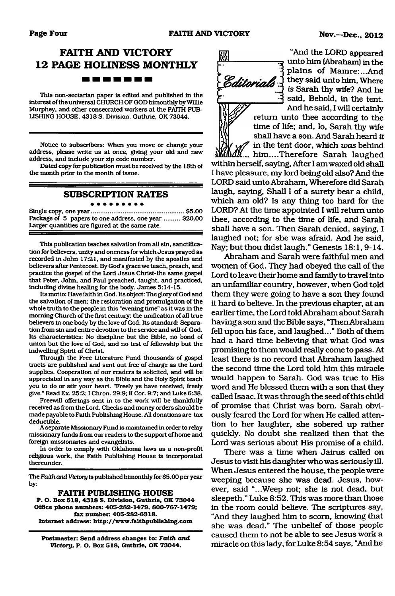# **FAITH AND VICTORY 12 PAGE HOLINESS MONTHLY** . . . **. . .** .

This non-sectarian paper is edited and published in the interest of the universal CHURCH OF GOD bimonthly by Willie Murphey, and other consecrated workers at the FAITH PUB-LISHING HOUSE, 4318 S. Division, Guthrie, OK 73044.

Notice to subscribers: When you move or change your address, please write us at once, giving your old and new address, and include your zip code number.

Dated copy for publication must be received by the 18th of the month prior to the month of issue.

#### **SUBSCRIPTION RATES** . . . . . . . . .

Single copy, one year.....................................................\$5.00 Package of 5 papers to one address, one year ......... \$20.00 Larger quantities are figured at the same rate.

This publication teaches salvation from all sin, sanctification for believers, unity and oneness for which Jesus prayed as recorded in John 17:21, and manifested by the apostles and believers after Pentecost. By God's grace we teach, preach, and practice the gospel of the Lord Jesus Christ-the same gospel that Peter, John, and Paul preached, taught, and practiced, including divine healing for the body. James 5:14-15.

Its motto: Have faith in God. Its object: The glory of God and the salvation of men; the restoration and promulgation of the whole truth to the people in this "evening time" as it was in the morning Church of the first century; the unification of all true believers in one body by the love of God. Its standard: Separation from sin and entire devotion to the service and will of God. Its characteristics: No discipline but the Bible, no bond of union but the love of God, and no test of fellowship but the indwelling Spirit of Christ.

Through the Free Literature Fund thousands of gospel tracts are published and sent out free of charge as the Lord supplies. Cooperation of our readers is solicited, and will be appreciated in any way as the Bible and the Holy Spirit teach you to do or stir your heart. "Freely ye have received, freely give." Read Ex. 25:2; I Chron. 29:9; II Cor. 9:7; and Luke 6:38.

Freewill offerings sent in to the work will be thankfully received as from the Lord. Checks and money orders should be made payable to Faith Publishing House. All donations are tax deductible.

A separate Missionary Fund is maintained in order to relay missionary funds from our readers to the support of home and foreign missionaries and evangelists.

In order to comply with Oklahoma laws as a non-profit religious work, the Faith Publishing House is incorporated thereunder.

The *Faith and Victory* is published bimonthly for \$5.00 per year by:

#### **FAITH PUBLISHING HOUSE**

**P. O. Box 518, 4318 S. Division, Guthrie, OK 73044 Office phone numbers: 405-282-1479, 800-767-1479; fax number: 405-282-6318. Internet address: <http://www.faithpublishing.com>**

**Postmaster: Send address changes to:** *Faith and Victory,* **P. O. Box 518, Guthrie, OK 73044.**



"And the LORD appeared unto him (Abraham) in the plains of Mamre:...And  $Edt$ iney said unto him, Where is Sarah thy wife? And he said, Behold, in the tent. And he said, I will certainly

return unto thee according to the time of life; and, lo, Sarah thy wife shall have a son. And Sarah heard *it f* in the tent door, which *was* behind

.... him....Therefore Sarah laughed within herself, saying, After I am waxed old shall I have pleasure, my lord being old also? And the LORD said unto Abraham, Wherefore did Sarah laugh, saying, Shall I of a surety bear a child, which am old? Is any thing too hard for the LORD? At the time appointed I will return unto thee, according to the time of life, and Sarah shall have a son. Then Sarah denied, saying, I laughed not; for she was afraid. And he said, Nay; but thou didst laugh." Genesis 18:1, 9-14.

Abraham and Sarah were faithful men and women of God. They had obeyed the call of the Lord to leave their home and family to travel into an unfamiliar country, however, when God told them they were going to have a son they found it hard to believe. In the previous chapter, at an earlier time, the Lord told Abraham about Sarah having a son and the Bible says, "Then Abraham fell upon his face, and laughed..." Both of them had a hard time believing that what God was promising to them would really come to pass. At least there is no record that Abraham laughed the second time the Lord told him this miracle would happen to Sarah. God was true to His word and He blessed them with a son that they called Isaac. It was through the seed of this child of promise that Christ was bom. Sarah obviously feared the Lord for when He called attention to her laughter, she sobered up rather quickly. No doubt she realized then that the Lord was serious about His promise of a child.

There was a time when Jairus called on Jesus to visit his daughter who was seriously ill. When Jesus entered the house, the people were weeping because she was dead. Jesus, however, said "...Weep not; she is not dead, but sleepeth." Luke 8:52. This was more than those in the room could believe. The scriptures say, "And they laughed him to scorn, knowing that she was dead." The unbelief of those people caused them to not be able to see Jesus work a miracle on this lady, for Luke 8:54 says, "And he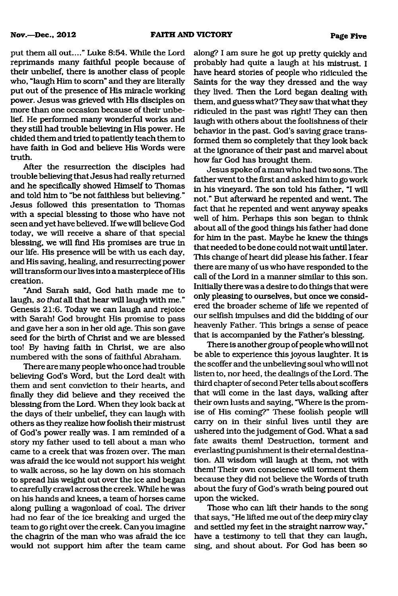**Nov.—Dec., 2012 FAITH AND VICTORY Page Five**

put them all out...." Luke 8:54. While the Lord reprimands many faithful people because of their unbelief, there is another class of people who, "laugh Him to scorn" and they are literally put out of the presence of His miracle working power. Jesus was grieved with His disciples on more than one occasion because of their unbelief. He performed many wonderful works and they still had trouble believing in His power. He chided them and tried to patiently teach them to have faith in God and believe His Words were truth.

After the resurrection the disciples had trouble believing that Jesus had really returned and he specifically showed Himself to Thomas and told him to "be not faithless but believing." Jesus followed this presentation to Thomas with a special blessing to those who have not seen and yet have believed. If we will believe God today, we will receive a share of that special blessing, we will find His promises are true in our life. His presence will be with us each day, and His saving, healing, and resurrecting power will transform our lives into a masterpiece of His creation.

"And Sarah said, God hath made me to laugh, so *that* all that hear will laugh with me." Genesis 21:6. Today we can laugh and rejoice with Sarah! God brought His promise to pass and gave her a son in her old age. This son gave seed for the birth of Christ and we are blessed too! By having faith in Christ, we are also numbered with the sons of faithful Abraham.

There are many people who once had trouble believing God's Word, but the Lord dealt with them and sent conviction to their hearts, and finally they did believe and they received the blessing from the Lord. When they look back at the days of their unbelief, they can laugh with others as they realize how foolish their mistrust of God's power really was. I am reminded of a story my father used to tell about a man who came to a creek that was frozen over. The man was afraid the ice would not support his weight to walk across, so he lay down on his stomach to spread his weight out over the ice and began to carefully crawl across the creek. While he was on his hands and knees, a team of horses came along pulling a wagonload of coal. The driver had no fear of the ice breaking and urged the team to go right over the creek. Can you imagine the chagrin of the man who was afraid the ice would not support him after the team came

along? I am sure he got up pretty quickly and probably had quite a laugh at his mistrust. I have heard stories of people who ridiculed the Saints for the way they dressed and the way they lived. Then the Lord began dealing with them, and guess what? They saw that what they ridiculed in the past was right! They can then laugh with others about the foolishness of their behavior in the past. God's saving grace transformed them so completely that they look back at the ignorance of their past and marvel about how far God has brought them.

Jesus spoke of a man who had two sons. The father went to the first and asked him to go work in his vineyard. The son told his father, "I will not." But afterward he repented and went. The fact that he repented and went anyway speaks well of him. Perhaps this son began to think about all of the good things his father had done for him in the past. Maybe he knew the things that needed to be done could not wait until later. This change of heart did please his father. I fear there are many of us who have responded to the call of the Lord in a manner similar to this son. Initially there was a desire to do things that were only pleasing to ourselves, but once we considered the broader scheme of life we repented of our selfish impulses and did the bidding of our heavenly Father. This brings a sense of peace that is accompanied by the Father's blessing.

There is another group of people who will not be able to experience this joyous laughter. It is the scoffer and the unbelieving soul who will not listen to, nor heed, the dealings of the Lord. The third chapter of second Peter tells about scoffers that will come in the last days, walking after their own lusts and saying, "Where is the promise of His coming?" These foolish people will carry on in their sinful lives until they are ushered into the judgement of God. What a sad fate awaits them! Destruction, torment and everlasting punishment is their eternal destination. All wisdom will laugh at them, not with them! Their own conscience will torment them because they did not believe the Words of truth about the fury of God's wrath being poured out upon the wicked.

Those who can lift their hands to the song that says, "He lifted me out of the deep miry clay and settled my feet in the straight narrow way," have a testimony to tell that they can laugh, sing, and shout about. For God has been so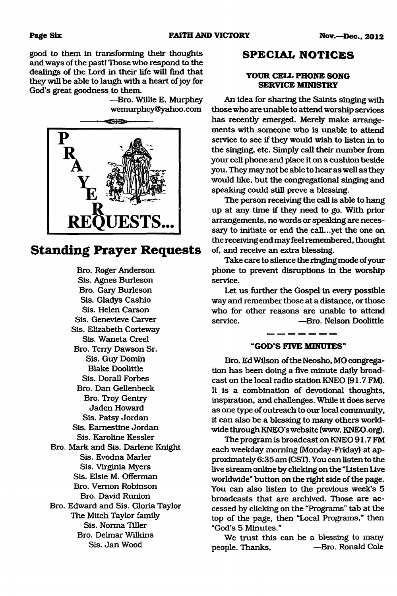good to them in transforming their thoughts and ways of the past! Those who respond to the dealings of the Lord in their life will find that they will be able to laugh with a heart of joy for God's great goodness to them.

> —Bro. Willie E. Murphey [wemuiphey@yahoo.com](mailto:wemuiphey@yahoo.com)



# **Standing Prayer Requests**

Bro. Roger Anderson Sis. Agnes Burleson Bro. Gary Burleson Sis. Gladys Cashio Sis. Helen Carson Sis. Genevieve Carver Sis. Elizabeth Corteway Sis. Waneta Creel Bro. Terry Dawson Sr. Sis. Guy Domin Blake Doolittle Sis. Dorall Forbes Bro. Dan Gellenbeck Bro. Troy Gentry Jaden Howard Sis. Patsy Jordan Sis. Eamestine Jordan Sis. Karoline Kessler Bro. Mark and Sis. Darlene Knight Sis. Evodna Marler Sis. Virginia Myers Sis. Elsie M. Offerman Bro. Vernon Robinson Bro. David Runion Bro. Edward and Sis. Gloria Taylor The Mitch Taylor family Sis. Norma Tiller Bro. Delmar Wilkins Sis. Jan Wood

## **SPECIAL NOTICES**

#### **YOUR CELL PHONE SONG SERVICE MINISTRY**

An idea for sharing the Saints singing with those who are unable to attend worship services has recently emerged. Merely make arrangements with someone who is unable to attend service to see if they would wish to listen in to the singing, etc. Simply call their number from your cell phone and place it on a cushion beside you. They may not be able to hear aswell as they would like, but the congregational singing and speaking could still prove a blessing.

The person receiving the call is able to hang up at any time if they need to go. With prior arrangements, no words or speaking are necessary to initiate or end the call...yet the one on the receiving end may feel remembered, thought of, and receive an extra blessing.

Take care to silence the ringing mode of your phone to prevent disruptions in the worship service.

Let us further the Gospel in every possible way and remember those at a distance, or those who for other reasons are unable to attend service. ——Bro. Nelson Doolittle

### **"GOD'S FIVE MINUTES"**

 $\frac{1}{2}$  and an analysis of  $\frac{1}{2}$ 

Bro. Ed Wilson of the Neosho, MO congregation has been doing a five minute daily broadcast on the local radio station KNEO (91.7 FM). It is a combination of devotional thoughts, inspiration, and challenges. While it does serve as one type of outreach to our local community, it can also be a blessing to many others worldwide through KNEO's website (www. KNEO.org).

The program is broadcast on KNEO 91.7 FM each weekday morning (Monday-Ftiday) at approximately 6:35 am (CST). You can listen to the live stream online by clicking on the "Listen Live worldwide" button on the right side of the page. You can also listen to the previous week's 5 broadcasts that are archived. Those are accessed by clicking on the "Programs" tab at the top of the page, then "Local Programs," then "God's 5 Minutes."

We trust this can be a blessing to many people. Thanks, **—Bro. Ronald Cole**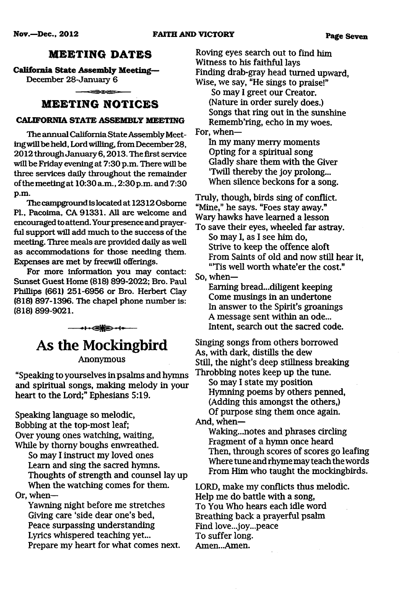# **MEETING DATES**

**California State Assembly Meeting—**

December 28-January 6

# **M E E T IN G N O T IC E S**

### **CALIFORNIA STATE ASSEMBLY MEETING**

The annual California State Assembly Meetingwill be held, Lord willing, from December 28, 2012 through January 6,2013. The first service will be Friday evening at 7:30 p.m. There will be three services daily throughout the remainder ofthe meeting at 10:30 a.m., 2:30p.m. and 7:30 p.m.

The campground is located at 12312 Osborne PL, Pacoima, CA 91331. All are welcome and encouraged to attend. Your presence and prayerful support will add much to the success of the meeting. Three meals are provided daily as well as accommodations for those needing them. Expenses are met by freewill offerings.

For more information you may contact: Sunset Guest Home (818) 899-2022; Bro. Paul Phillips (661) 251-6956 or Bro. Herbert Clay (818) 897-1396. The chapel phone number is: (818) 899-9021.

**As the Mockingbird**

----■i .gBaUP' O----

**Anonymous**

**"Speaking to yourselves in psalms and hymns and spiritual songs, making melody in your heart to the Lord;" Ephesians 5:19.**

**Speaking language so melodic, Bobbing at the top-most leaf; Over young ones watching, waiting, While by thorny boughs enwreathed.**

**So may I instruct my loved ones Learn and sing the sacred hymns.** Thoughts of strength and counsel lay up **When the watching comes for them. Or, when—**

**Yawning night before me stretches Giving care 'side dear one's bed, Peace surpassing understanding Lyrics whispered teaching yet... Prepare my heart for what comes next.** **Roving eyes search out to find** him **Witness to his faithful lays Finding drab-gray head turned upward, Wise, we say, "He sings to praise!" So may I greet our Creator. (Nature in order surely does.)**

**Songs that ring out in the sunshine Rememb'ring, echo in my woes. For, when—**

**In my many merry moments Opting for a spiritual song Gladly share them with the Giver 'Twill thereby the joy prolong... When silence beckons for a song.**

Truly, though, birds sing of conflict. **"Mine," he says. "Foes stay away." Wary hawks have learned a lesson**

**To save their eyes, wheeled far astray. So may I, as I see him do, Strive to keep the offence aloft** From Saints of old and now still hear it, **"'Tis well worth whate'er the cost."**

So, when-

**Earning bread...diligent keeping Come musings in an undertone In answer to the Spirit's groanings** A message sent within an ode... **intent, search out the sacred code.**

**Singing songs from others borrowed As, with dark, distills the dew Still, the night's deep stillness breaking Throbbing notes keep up the tune.**

**So may I state my position Hymning poems by others penned, (Adding this amongst the others,)** Of purpose sing them once again.

**And, when—**

**Waking...notes and phrases circling Fragment of a hymn once heard Then, through scores of scores go leafing Where tune and rhyme may teach the words From Him who taught the mockingbirds.**

**LORD, make my conflicts thus melodic. Help me do battle with a song, To You Who hears each idle word Breathing back a prayerful psalm Find love...joy...peace To suffer long. Amen...Amen.**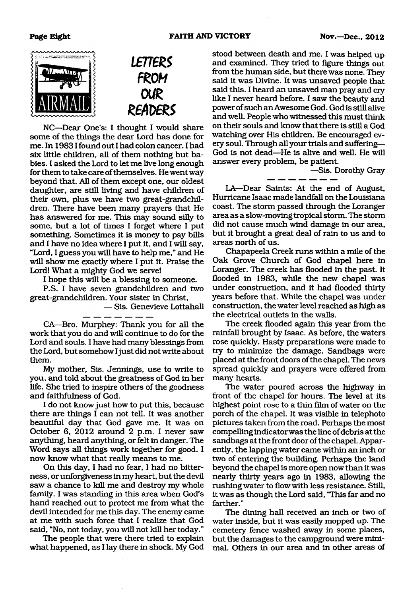



NC—Dear One's: I thought I would share some of the things the dear Lord has done for me. In 19831found out I had colon cancer. I had six little children, all of them nothing but babies. I asked the Lord to let me live long enough for them to take care of themselves. He went way beyond that. All of them except one, our oldest daughter, are still living and have children of their own, plus we have two great-grandchildren. There have been many prayers that He has answered for me. This may sound silly to some, but a lot of times I forget where I put something. Sometimes it is money to pay bills and I have no idea where I put it, and I will say, "Lord, I guess you will have to help me," and He will show me exactly where I put it. Praise the Lord! What a mighty God we serve!

I hope this will be a blessing to someone.

P.S. I have seven grandchildren and two great-grandchildren. Your sister in Christ,

— Sis. Genevieve Lottahall

CA—Bro. Murphey: Thank you for all the work that you do and will continue to do for the Lord and souls. I have had many blessings from the Lord, but somehow I just did not write about them.

My mother, Sis. Jennings, use to write to you, and told about the greatness of God in her life. She tried to inspire others of the goodness and faithfulness of God.

I do not know just how to put this, because there are things I can not tell. It was another beautiful day that God gave me. It was on October 6, 2012 around 2 p.m. I never saw anything, heard anything, or felt in danger. The Word says all things work together for good. I now know what that really means to me.

On this day, I had no fear, I had no bitterness, or unforgiveness in my heart, but the devil saw a chance to kill me and destroy my whole family. I was standing in this area when God's hand reached out to protect me from what the devil intended for me this day. The enemy came at me with such force that I realize that God said, "No, not today, you will not kill her today."

The people that were there tried to explain what happened, as I lay there in shock. My God

stood between death and me. I was helped up and examined. They tried to figure things out from the human side, but there was none. They said it was Divine. It was unsaved people that said this. I heard an unsaved man pray and cry like I never heard before. I saw the beauty and power of such an Awesome God. God is still alive and well. People who witnessed this must think on their souls and know that there is still a God watching over His children. Be encouraged every soul. Through all your trials and suffering— God is not dead—He is alive and well. He will answer every problem, be patient.

—Sis. Dorothy Gray

LA—Dear Saints: At the end of August, Hurricane Isaac made landfall on the Louisiana coast. The storm passed through the Loranger area as a slow-moving tropical storm. The storm did not cause much wind damage in our area, but it brought a great deal of rain to us and to areas north of us.

Chapapeela Creek runs within a mile of the Oak Grove Church of God chapel here in Loranger. The creek has flooded in the past. It flooded in 1983, while the new chapel was under construction, and it had flooded thirty years before that. While the chapel was under construction, the water level reached as high as the electrical outlets in the walls.

The creek flooded again this year from the rainfall brought by Isaac. As before, the waters rose quickly. Hasty preparations were made to try to minimize the damage. Sandbags were placed at the front doors of the chapel. The news spread quickly and prayers were offered from many hearts.

The water poured across the highway in front of the chapel for hours. The level at its highest point rose to a thin film of water on the porch of the chapel. It was visible in telephoto pictures taken from the road. Perhaps the most compelling indicator was the line of debris at the sandbags at the front door of the chapel. Apparently, the lapping water came within an inch or two of entering the building. Perhaps the land beyond the chapel is more open now than it was nearly thirty years ago in 1983, allowing the rushing water to flow with less resistance. Still, it was as though the Lord said, "This far and no farther."

The dining hall received an inch or two of water inside, but it was easily mopped up. The cemetery fence washed away in some places, but the damages to the campground were minimal. Others in our area and in other areas of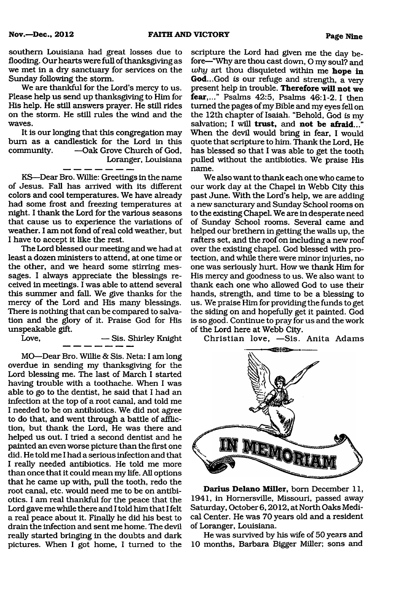**Nov.—Dec.. 2012 FAITH AND VICTORY Page Nine**

southern Louisiana had great losses due to flooding. Our hearts were full of thanksgiving as we met in a dry sanctuary for services on the Sunday following the storm.

We are thankful for the Lord's mercy to us. Please help us send up thanksgiving to Him for His help. He still answers prayer. He still rides on the storm. He still rules the wind and the waves.

It is our longing that this congregation may bum as a candlestick for the Lord in this community. — Oak Grove Church of God, Loranger, Louisiana

KS—Dear Bro. Willie: Greetings in the name of Jesus. Fall has arrived with its different colors and cool temperatures. We have already had some frost and freezing temperatures at night. I thank the Lord for the various seasons that cause us to experience the variations of weather. I am not fond of real cold weather, but I have to accept it like the rest.

The Lord blessed our meeting and we had at least a dozen ministers to attend, at one time or the other, and we heard some stirring messages. I always appreciate the blessings received in meetings. I was able to attend several this summer and fall. We give thanks for the mercy of the Lord and His many blessings. There is nothing that can be compared to salvation and the glory of it. Praise God for His unspeakable gift.

Love, — Sis. Shirley Knight

MO—Dear Bro. Willie & Sis. Neta: I am long overdue in sending my thanksgiving for the Lord blessing me. The last of March I started having trouble with a toothache. When I was able to go to the dentist, he said that I had an infection at the top of a root canal, and told me I needed to be on antibiotics. We did not agree to do that, and went through a battle of affliction, but thank the Lord, He was there and helped us out. I tried a second dentist and he painted an even worse picture than the first one did. He told me I had a serious infection and that I really needed antibiotics. He told me more than once that it could mean my life. All options that he came up with, pull the tooth, redo the root canal, etc. would need me to be on antibiotics. I am real thankful for the peace that the Lord gave me while there and I told him that I felt a real peace about it. Finally he did his best to drain the infection and sent me home. The devil really started bringing in the doubts and dark pictures. When I got home, I turned to the

scripture the Lord had given me the day before—"Why are thou cast down, O my soul? and *why* art thou disquieted within me **hope in God...**God *is* our refuge and strength, a very present help in trouble. **Therefore will not we fear,..."** Psalms 42:5, Psalms 46:1-2.1 then turned the pages of my Bible and my eyes fell on the 12th chapter of Isaiah. "Behold, God *is* my salvation; I will **trust,** and **not be afraid..."** When the devil would bring in fear, I would quote that scripture to him. Thank the Lord, He has blessed so that I was able to get the tooth pulled without the antibiotics. We praise His name.

We also want to thank each one who came to our work day at the Chapel in Webb City this past June. With the Lord's help, we are adding a new sancturary and Sunday School rooms on to the existing Chapel. We are in desperate need of Sunday School rooms. Several came and helped our brethem in getting the walls up, the rafters set, and the roof on including a new roof over the existing chapel. God blessed with protection, and while there were minor injuries, no one was seriously hurt. How we thank Him for His mercy and goodness to us. We also want to thank each one who allowed God to use their hands, strength, and time to be a blessing to us. We praise Him for providing the funds to get the siding on and hopefully get it painted. God is so good. Continue to pray for us and the work of the Lord here at Webb City.

Christian love, -Sis. Anita Adams



**Darius Delano Miller,** bom December 11, 1941, in Homersville, Missouri, passed away Saturday, October 6,2012, at North Oaks Medical Center. He was 70 years old and a resident of Loranger, Louisiana.

He was survived by his wife of 50 years and 10 months, Barbara Bigger Miller; sons and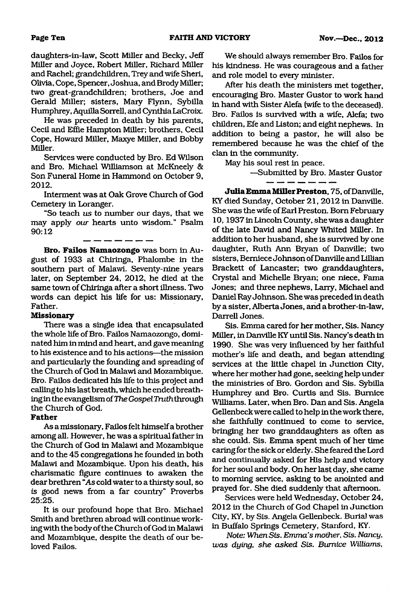daughters-in-law, Scott Miller and Becky, Jeff Miller and Joyce, Robert Miller, Richard Miller and Rachel; grandchildren, Trey and wife Sheri, Olivia, Cope, Spencer, Joshua, and Brody Miller; two great-grandchildren; brothers, Joe and Gerald Miller; sisters, Mary Flynn, Sybilla Humphrey, Aquilla Sorrell, and Cynthia LaCroix.

He was preceded in death by his parents, Cecil and Effie Hampton Miller; brothers, Cecil Cope, Howard Miller, Maxye Miller, and Bobby Miller.

Services were conducted by Bro. Ed Wilson and Bro. Michael Williamson at McKneely & Son Funeral Home in Hammond on October 9, **2012.**

Interment was at Oak Grove Church of God Cemetery in Loranger.

"So teach *us* to number our days, that we may apply *our* hearts unto wisdom." Psalm 90:12

<u> — — — — — — — — — </u>

**Bro. Failos Namaozongo** was bom in August of 1933 at Chiringa, Phalombe in the southern part of Malawi. Seventy-nine years later, on September 24, 2012, he died at the same town of Chiringa after a short illness. Two words can depict his life for us: Missionary, Father.

#### **Missionary**

There was a single idea that encapsulated the whole life of Bro. Failos Namaozongo, dominated him in mind and heart, and gave meaning to his existence and to his actions—the mission and particularly the founding and spreading of the Church of God in Malawi and Mozambique. Bro. Failos dedicated his life to this project and calling to his last breath, which he ended breathing in the evangelism of *The Gospel Truth* through the Church of God.

#### **Father**

As a missionary, Failos felt himself a brother among all. However, he was a spiritual father in the Church of God in Malawi and Mozambique and to the 45 congregations he founded in both Malawi and Mozambique. Upon his death, his charismatic figure continues to awaken the dear brethren "As cold water to a thirsty soul, so *is* good news from a far country" Proverbs 25:25.

It is our profound hope that Bro. Michael Smith and brethren abroad will continue working with the body of the Church of God in Malawi and Mozambique, despite the death of our beloved Failos.

We should always remember Bro. Failos for his kindness. He was courageous and a father and role model to every minister.

After his death the ministers met together, encouraging Bro. Master Gustor to work hand in hand with Sister Alefa (wife to the deceased). Bro. Failos is survived with a wife, Alefa; two children, Efe and Liston; and eight nephews. In addition to being a pastor, he will also be remembered because he was the chief of the clan in the community.

May his soul rest in peace.

—Submitted by Bro. Master Gustor

 $\overline{\phantom{a}}$   $\overline{\phantom{a}}$   $\overline{\phantom{a}}$   $\overline{\phantom{a}}$   $\overline{\phantom{a}}$  .

**Julia Emma Miller Preston, 75, of Danville,** KY died Sunday, October 21, 2012 in Danville. She was the wife of Earl Preston. Bom February 10,1937 in Lincoln County, she was a daughter of the late David and Nancy Whited Miller. In addition to her husband, she is survived by one daughter, Ruth Ann Bryan of Danville; two sisters, Bemiece Johnson of Danville and Lillian Brackett of Lancaster; two granddaughters, Crystal and Michelle Bryan; one niece, Fama Jones; and three nephews, Larry, Michael and Daniel Ray Johnson. She was preceded in death by a sister, Alberta Jones, and a brother-in-law, Darrell Jones.

Sis. Emma cared for her mother, Sis. Nancy Miller, in Danville KY until Sis. Nancy's death in 1990. She was very influenced by her faithful mother's life and death, and began attending services at the little chapel in Junction City, where her mother had gone, seeking help under the ministries of Bro. Gordon and Sis. Sybilla Humphrey and Bro. Curtis and Sis. Bumice Williams. Later, when Bro. Dan and Sis. Angela Gellenbeck were called to help in the work there, she faithfully continued to come to service, bringing her two granddaughters as often as she could. Sis. Emma spent much of her time caring for the sick or elderly. She feared the Lord and continually asked for His help and victory for her soul and body. On her last day, she came to morning service, asking to be anointed and prayed for. She died suddenly that afternoon.

Services were held Wednesday, October 24, 2012 in the Church of God Chapel in Junction City, KY, by Sis. Angela Gellenbeck. Burial was in Buffalo Springs Cemetery, Stanford, KY.

*Note: When Sis. Emma's mother, Sis. Nancy, was dying, she asked Sis. Bumice Williams,*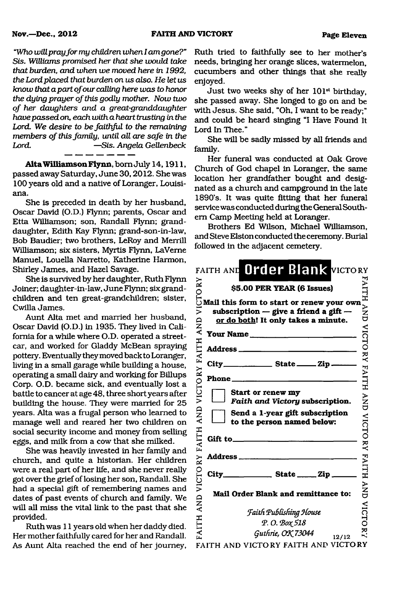"Who *will pray fo r my children when I am gone?" Sis. Williams promised her that she would take that burden, and when we moved here in 1992, the Lord placed that burden on us also. He let us know that a part of our calling here was to honor the dying prayer o f this godly mother. Now two o f her daughters and a great-granddaughter have passed on, each with a heart trusting in the Lord. We desire to be faithful to the remaining members of this family, until all are safe in the Lord.* —*Sis. Angela Gellenbeck*

**A lta Williamson Flynn,** bom July 14,1911, passed away Saturday, June 30,2012. She was 100 years old and a native of Loranger, Louisiana.

She is preceded in death by her husband, Oscar David (O.D.) Flynn; parents, Oscar and Etta Williamson; son, Randall Flynn; granddaughter, Edith Kay Flynn; grand-son-in-law, Bob Baudier; two brothers, LeRoy and Merrill Williamson; six sisters, Myrtis Flynn, LaVeme Manuel, Louella Narretto, Katherine Harmon, Shirley James, and Hazel Savage.

She is survived by her daughter, Ruth Flynn Joiner; daughter-in-law, June Flynn; six grandchildren and ten great-grandchildren; sister, Cwilla James.

Aunt Alta met and married her husband, Oscar David (O.D.) in 1935. They lived in California for a while where O.D. operated a streetcar, and worked for Gladdy McBean spraying pottery. Eventually they moved back to Loranger, living in a small garage while building a house, operating a small dairy and working for Billups Corp. O.D. became sick, and eventually lost a battle to cancer at age 48, three short years after building the house. They were married for 25 years. Alta was a frugal person who learned to manage well and reared her two children on social security income and money from selling eggs, and milk from a cow that she milked.

She was heavily invested in her family and church, and quite a historian. Her children were a real part of her life, and she never really got over the grief of losing her son, Randall. She had a special gift of remembering names and dates of past events of church and family. We will all miss the vital link to the past that she provided.

Ruth was 11 years old when her daddy died. Her mother faithfully cared for her and Randall. As Aunt Alta reached the end of her journey,

Ruth tried to faithfully see to her mother's needs, bringing her orange slices, watermelon, cucumbers and other things that she really enjoyed.

Just two weeks shy of her  $101<sup>st</sup>$  birthday, she passed away. She longed to go on and be with Jesus. She said, "Oh, I want to be ready;" and could be heard singing "I Have Found It Lord In Thee."

She will be sadly missed by all friends and family.

Her funeral was conducted at Oak Grove Church of God chapel in Loranger, the same location her grandfather bought and designated as a church and campground in the late 1890's. It was quite fitting that her funeral service was conducted during the General Southern Camp Meeting held at Loranger.

Brothers Ed Wilson, Michael Williamson, and Steve Elston conducted the ceremony. Burial followed in the adjacent cemetery.

| RY                          | FAITH AND Order Blank VICTORY<br>\$5.00 PER YEAR (6 Issues)                                                                                 |                   |
|-----------------------------|---------------------------------------------------------------------------------------------------------------------------------------------|-------------------|
| <b>CTO</b><br>Ĕ<br>AND      | Mail this form to start or renew your own<br>subscription $-$ give a friend a gift $-$<br>or do both! It only takes a minute.               | ANDIVIORY         |
|                             | Your Name                                                                                                                                   |                   |
| VICTORY FAITH               | Phone $\frac{1}{\sqrt{1-\frac{1}{2}}\cdot\frac{1}{\sqrt{1-\frac{1}{2}}\cdot\frac{1}{2}}\cdot\frac{1}{\sqrt{1-\frac{1}{2}}\cdot\frac{1}{2}}$ | <b>FAITH AND</b>  |
|                             | Start or renew my<br>Faith and Victory subscription.<br>Send a 1-year gift subscription                                                     |                   |
|                             | to the person named below:<br>Gift to_                                                                                                      | <b>VICTORY</b>    |
| FAITH AND VICTORY FAITH AND | <b>Address</b> <sub>-</sub>                                                                                                                 | <b>FAITH</b>      |
|                             | City_<br>$\frac{1}{\sqrt{1-\frac{1}{2}}\sqrt{1-\frac{1}{2}}\sin \frac{1}{2}}$                                                               | <b>AND</b>        |
|                             | <b>Mail Order Blank and remittance to:</b><br><b>Faith Publishing House</b>                                                                 |                   |
|                             | Р. О. Вох 518<br>Guthrie, OK 73044                                                                                                          | VICTO<br><u>ਤ</u> |
|                             | 12/12<br>FAITH AND VICTORY FAITH AND VICTORY                                                                                                |                   |